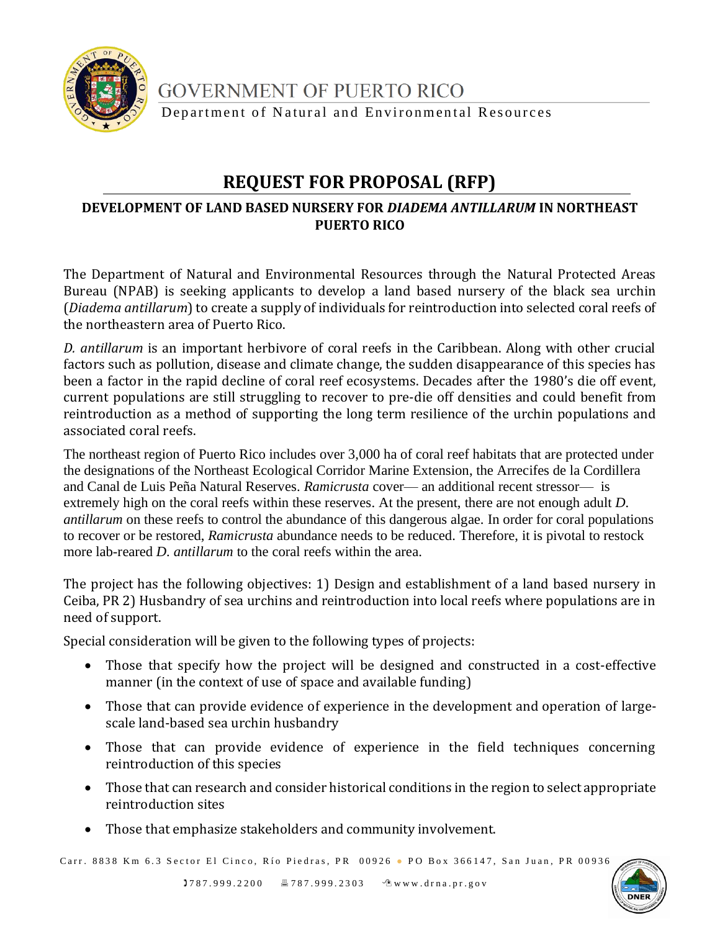

**GOVERNMENT OF PUERTO RICO** 

Department of Natural and Environmental Resources

# **REQUEST FOR PROPOSAL (RFP)**

## **DEVELOPMENT OF LAND BASED NURSERY FOR** *DIADEMA ANTILLARUM* **IN NORTHEAST PUERTO RICO**

The Department of Natural and Environmental Resources through the Natural Protected Areas Bureau (NPAB) is seeking applicants to develop a land based nursery of the black sea urchin (*Diadema antillarum*) to create a supply of individuals for reintroduction into selected coral reefs of the northeastern area of Puerto Rico.

*D. antillarum* is an important herbivore of coral reefs in the Caribbean. Along with other crucial factors such as pollution, disease and climate change, the sudden disappearance of this species has been a factor in the rapid decline of coral reef ecosystems. Decades after the 1980's die off event, current populations are still struggling to recover to pre-die off densities and could benefit from reintroduction as a method of supporting the long term resilience of the urchin populations and associated coral reefs.

The northeast region of Puerto Rico includes over 3,000 ha of coral reef habitats that are protected under the designations of the Northeast Ecological Corridor Marine Extension, the Arrecifes de la Cordillera and Canal de Luis Peña Natural Reserves. *Ramicrusta* cover— an additional recent stressor— is extremely high on the coral reefs within these reserves. At the present, there are not enough adult *D. antillarum* on these reefs to control the abundance of this dangerous algae. In order for coral populations to recover or be restored, *Ramicrusta* abundance needs to be reduced. Therefore, it is pivotal to restock more lab-reared *D. antillarum* to the coral reefs within the area.

The project has the following objectives: 1) Design and establishment of a land based nursery in Ceiba, PR 2) Husbandry of sea urchins and reintroduction into local reefs where populations are in need of support.

Special consideration will be given to the following types of projects:

- Those that specify how the project will be designed and constructed in a cost-effective manner (in the context of use of space and available funding)
- Those that can provide evidence of experience in the development and operation of largescale land-based sea urchin husbandry
- Those that can provide evidence of experience in the field techniques concerning reintroduction of this species
- Those that can research and consider historical conditions in the region to select appropriate reintroduction sites
- Those that emphasize stakeholders and community involvement.

Carr. 8838 Km 6.3 Sector El Cinco, Río Piedras, PR 00926 . PO Box 366147, San Juan, PR 00936

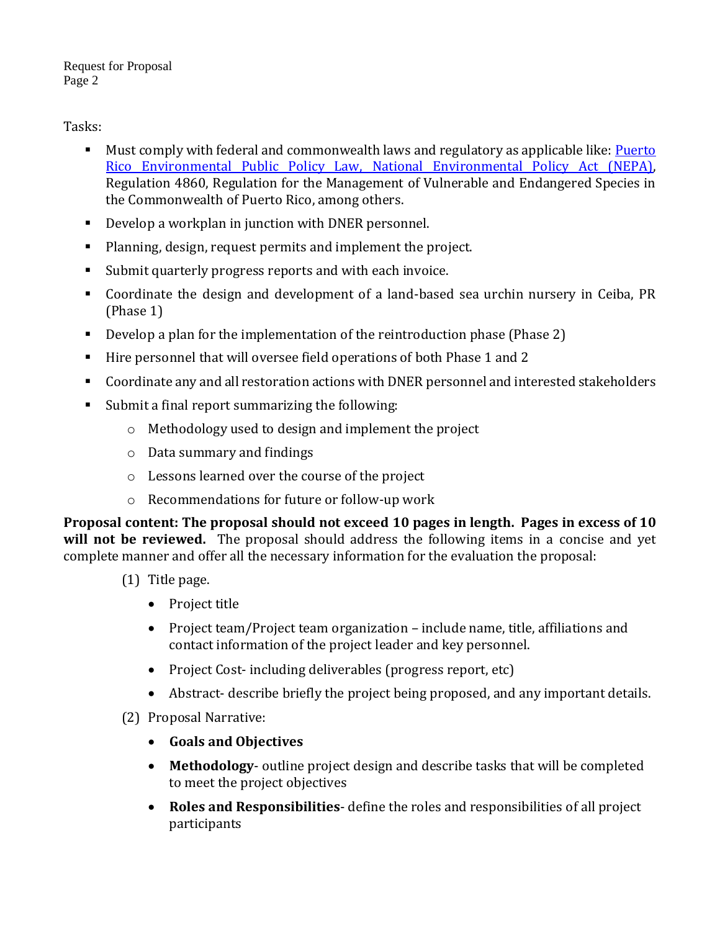Request for Proposal Page 2

Tasks:

- Must comply with federal and commonwealth laws and regulatory as applicable like: Puerto [Rico Environmental Public Policy Law,](http://drna.pr.gov/documentos/ley-num-416-de-22-de-septiembre-de-2004/) [National Environmental Policy Act \(NEPA\),](https://www.epa.gov/nepa/what-national-environmental-policy-act) Regulation 4860, Regulation for the Management of Vulnerable and Endangered Species in the Commonwealth of Puerto Rico, among others.
- Develop a workplan in junction with DNER personnel.
- Planning, design, request permits and implement the project.
- Submit quarterly progress reports and with each invoice.
- Coordinate the design and development of a land-based sea urchin nursery in Ceiba, PR (Phase 1)
- Develop a plan for the implementation of the reintroduction phase (Phase 2)
- Hire personnel that will oversee field operations of both Phase 1 and 2
- Coordinate any and all restoration actions with DNER personnel and interested stakeholders
- Submit a final report summarizing the following:
	- o Methodology used to design and implement the project
	- o Data summary and findings
	- o Lessons learned over the course of the project
	- o Recommendations for future or follow-up work

**Proposal content: The proposal should not exceed 10 pages in length. Pages in excess of 10 will not be reviewed.** The proposal should address the following items in a concise and yet complete manner and offer all the necessary information for the evaluation the proposal:

- (1) Title page.
	- Project title
	- Project team/Project team organization include name, title, affiliations and contact information of the project leader and key personnel.
	- Project Cost-including deliverables (progress report, etc)
	- Abstract- describe briefly the project being proposed, and any important details.
- (2) Proposal Narrative:
	- **Goals and Objectives**
	- **Methodology** outline project design and describe tasks that will be completed to meet the project objectives
	- **Roles and Responsibilities** define the roles and responsibilities of all project participants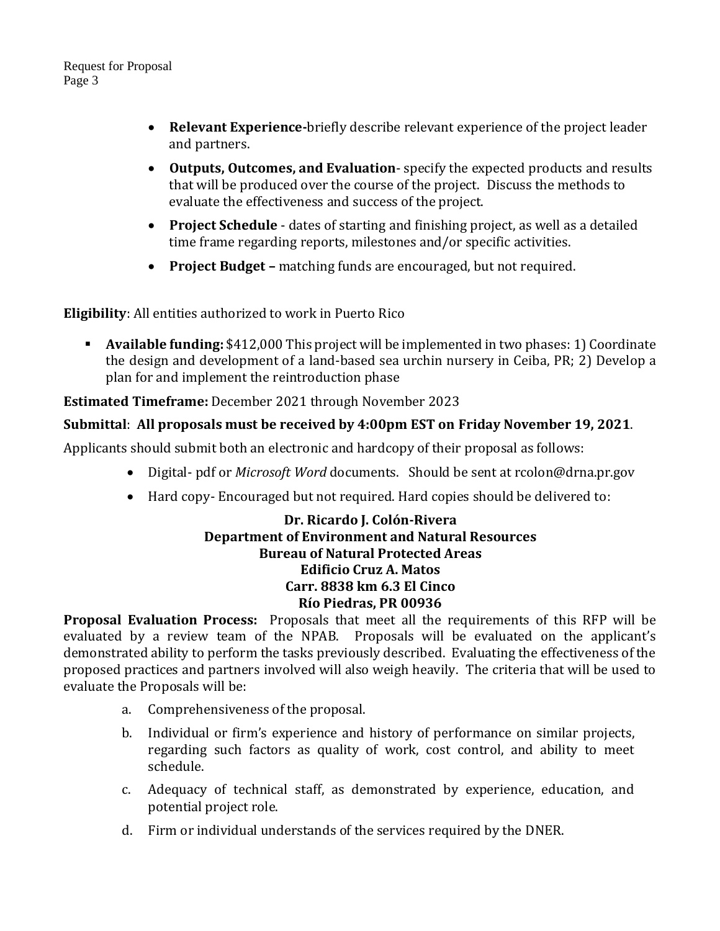Request for Proposal Page 3

- **Relevant Experience-**briefly describe relevant experience of the project leader and partners.
- **Outputs, Outcomes, and Evaluation** specify the expected products and results that will be produced over the course of the project. Discuss the methods to evaluate the effectiveness and success of the project.
- **Project Schedule** dates of starting and finishing project, as well as a detailed time frame regarding reports, milestones and/or specific activities.
- **Project Budget –** matching funds are encouraged, but not required.

**Eligibility**: All entities authorized to work in Puerto Rico

Available funding: \$412,000 This project will be implemented in two phases: 1) Coordinate the design and development of a land-based sea urchin nursery in Ceiba, PR; 2) Develop a plan for and implement the reintroduction phase

**Estimated Timeframe:** December 2021 through November 2023

## **Submittal**: **All proposals must be received by 4:00pm EST on Friday November 19, 2021**.

Applicants should submit both an electronic and hardcopy of their proposal as follows:

- Digital- pdf or *Microsoft Word* documents. Should be sent at rcolon@drna.pr.gov
- Hard copy- Encouraged but not required. Hard copies should be delivered to:

### **Dr. Ricardo J. Colón-Rivera Department of Environment and Natural Resources Bureau of Natural Protected Areas Edificio Cruz A. Matos Carr. 8838 km 6.3 El Cinco Río Piedras, PR 00936**

**Proposal Evaluation Process:** Proposals that meet all the requirements of this RFP will be evaluated by a review team of the NPAB. Proposals will be evaluated on the applicant's demonstrated ability to perform the tasks previously described. Evaluating the effectiveness of the proposed practices and partners involved will also weigh heavily. The criteria that will be used to evaluate the Proposals will be:

- a. Comprehensiveness of the proposal.
- b. Individual or firm's experience and history of performance on similar projects, regarding such factors as quality of work, cost control, and ability to meet schedule.
- c. Adequacy of technical staff, as demonstrated by experience, education, and potential project role.
- d. Firm or individual understands of the services required by the DNER.